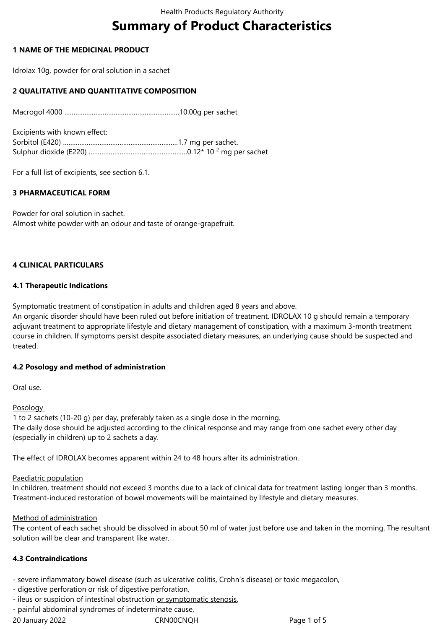# **Summary of Product Characteristics**

# **1 NAME OF THE MEDICINAL PRODUCT**

Idrolax 10g, powder for oral solution in a sachet

# **2 QUALITATIVE AND QUANTITATIVE COMPOSITION**

Macrogol 4000 ………………………………………………………10.00g per sachet

Excipients with known effect: Sorbitol (E420) ………………………………………………………1.7 mg per sachet. Sulphur dioxide (E220) ………………………………………………0.12\* 10-2 mg per sachet

For a full list of excipients, see section 6.1.

# **3 PHARMACEUTICAL FORM**

Powder for oral solution in sachet. Almost white powder with an odour and taste of orange-grapefruit.

# **4 CLINICAL PARTICULARS**

## **4.1 Therapeutic Indications**

Symptomatic treatment of constipation in adults and children aged 8 years and above.

An organic disorder should have been ruled out before initiation of treatment. IDROLAX 10 g should remain a temporary adjuvant treatment to appropriate lifestyle and dietary management of constipation, with a maximum 3-month treatment course in children. If symptoms persist despite associated dietary measures, an underlying cause should be suspected and treated.

## **4.2 Posology and method of administration**

Oral use.

**Posology** 

1 to 2 sachets (10-20 g) per day, preferably taken as a single dose in the morning. The daily dose should be adjusted according to the clinical response and may range from one sachet every other day (especially in children) up to 2 sachets a day.

The effect of IDROLAX becomes apparent within 24 to 48 hours after its administration.

## Paediatric population

In children, treatment should not exceed 3 months due to a lack of clinical data for treatment lasting longer than 3 months. Treatment-induced restoration of bowel movements will be maintained by lifestyle and dietary measures.

## Method of administration

The content of each sachet should be dissolved in about 50 ml of water just before use and taken in the morning. The resultant solution will be clear and transparent like water.

## **4.3 Contraindications**

- severe inflammatory bowel disease (such as ulcerative colitis, Crohn's disease) or toxic megacolon,

- digestive perforation or risk of digestive perforation,
- ileus or suspicion of intestinal obstruction or symptomatic stenosis,
- painful abdominal syndromes of indeterminate cause,

20 January 2022 CRN00CNQH Page 1 of 5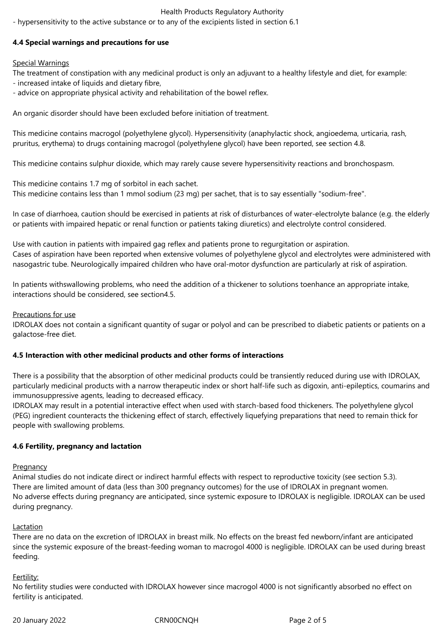# Health Products Regulatory Authority

- hypersensitivity to the active substance or to any of the excipients listed in section 6.1

# **4.4 Special warnings and precautions for use**

# Special Warnings

The treatment of constipation with any medicinal product is only an adjuvant to a healthy lifestyle and diet, for example:

- increased intake of liquids and dietary fibre,

- advice on appropriate physical activity and rehabilitation of the bowel reflex.

An organic disorder should have been excluded before initiation of treatment.

This medicine contains macrogol (polyethylene glycol). Hypersensitivity (anaphylactic shock, angioedema, urticaria, rash, pruritus, erythema) to drugs containing macrogol (polyethylene glycol) have been reported, see section 4.8.

This medicine contains sulphur dioxide, which may rarely cause severe hypersensitivity reactions and bronchospasm.

This medicine contains 1.7 mg of sorbitol in each sachet. This medicine contains less than 1 mmol sodium (23 mg) per sachet, that is to say essentially "sodium-free".

In case of diarrhoea, caution should be exercised in patients at risk of disturbances of water-electrolyte balance (e.g. the elderly or patients with impaired hepatic or renal function or patients taking diuretics) and electrolyte control considered.

Use with caution in patients with impaired gag reflex and patients prone to regurgitation or aspiration. Cases of aspiration have been reported when extensive volumes of polyethylene glycol and electrolytes were administered with nasogastric tube. Neurologically impaired children who have oral-motor dysfunction are particularly at risk of aspiration.

In patients withswallowing problems, who need the addition of a thickener to solutions toenhance an appropriate intake, interactions should be considered, see section4.5.

## Precautions for use

IDROLAX does not contain a significant quantity of sugar or polyol and can be prescribed to diabetic patients or patients on a galactose-free diet.

## **4.5 Interaction with other medicinal products and other forms of interactions**

There is a possibility that the absorption of other medicinal products could be transiently reduced during use with IDROLAX, particularly medicinal products with a narrow therapeutic index or short half-life such as digoxin, anti-epileptics, coumarins and immunosuppressive agents, leading to decreased efficacy.

IDROLAX may result in a potential interactive effect when used with starch-based food thickeners. The polyethylene glycol (PEG) ingredient counteracts the thickening effect of starch, effectively liquefying preparations that need to remain thick for people with swallowing problems.

## **4.6 Fertility, pregnancy and lactation**

**Pregnancy** 

Animal studies do not indicate direct or indirect harmful effects with respect to reproductive toxicity (see section 5.3). There are limited amount of data (less than 300 pregnancy outcomes) for the use of IDROLAX in pregnant women. No adverse effects during pregnancy are anticipated, since systemic exposure to IDROLAX is negligible. IDROLAX can be used during pregnancy.

## **Lactation**

There are no data on the excretion of IDROLAX in breast milk. No effects on the breast fed newborn/infant are anticipated since the systemic exposure of the breast-feeding woman to macrogol 4000 is negligible. IDROLAX can be used during breast feeding.

## Fertility:

No fertility studies were conducted with IDROLAX however since macrogol 4000 is not significantly absorbed no effect on fertility is anticipated.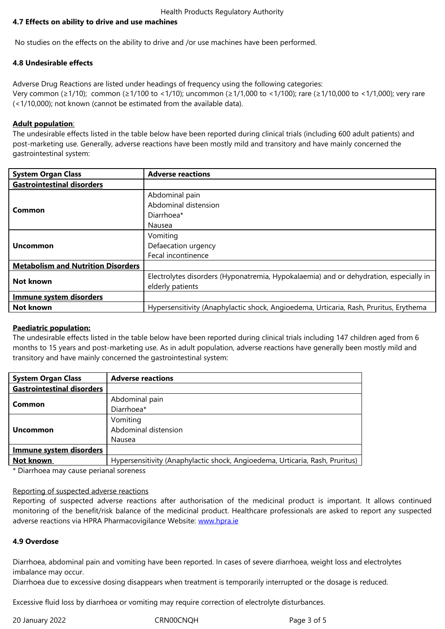No studies on the effects on the ability to drive and /or use machines have been performed.

## **4.8 Undesirable effects**

Adverse Drug Reactions are listed under headings of frequency using the following categories: Very common (≥1/10); common (≥1/100 to <1/10); uncommon (≥1/1,000 to <1/100); rare (≥1/10,000 to <1/1,000); very rare (<1/10,000); not known (cannot be estimated from the available data).

## **Adult population**:

The undesirable effects listed in the table below have been reported during clinical trials (including 600 adult patients) and post-marketing use. Generally, adverse reactions have been mostly mild and transitory and have mainly concerned the gastrointestinal system:

| <b>System Organ Class</b>                 | <b>Adverse reactions</b>                                                              |
|-------------------------------------------|---------------------------------------------------------------------------------------|
| <b>Gastrointestinal disorders</b>         |                                                                                       |
| Common                                    | Abdominal pain                                                                        |
|                                           | Abdominal distension                                                                  |
|                                           | Diarrhoea*                                                                            |
|                                           | Nausea                                                                                |
| Uncommon                                  | Vomiting                                                                              |
|                                           | Defaecation urgency                                                                   |
|                                           | Fecal incontinence                                                                    |
| <b>Metabolism and Nutrition Disorders</b> |                                                                                       |
| Not known                                 | Electrolytes disorders (Hyponatremia, Hypokalaemia) and or dehydration, especially in |
|                                           | elderly patients                                                                      |
| <b>Immune system disorders</b>            |                                                                                       |
| Not known                                 | Hypersensitivity (Anaphylactic shock, Angioedema, Urticaria, Rash, Pruritus, Erythema |

## **Paediatric population:**

The undesirable effects listed in the table below have been reported during clinical trials including 147 children aged from 6 months to 15 years and post-marketing use. As in adult population, adverse reactions have generally been mostly mild and transitory and have mainly concerned the gastrointestinal system:

| <b>System Organ Class</b>         | <b>Adverse reactions</b>                                                     |
|-----------------------------------|------------------------------------------------------------------------------|
| <b>Gastrointestinal disorders</b> |                                                                              |
| Common                            | Abdominal pain                                                               |
|                                   | Diarrhoea*                                                                   |
| <b>Uncommon</b>                   | Vomiting                                                                     |
|                                   | Abdominal distension                                                         |
|                                   | Nausea                                                                       |
| <b>Immune system disorders</b>    |                                                                              |
| Not known                         | Hypersensitivity (Anaphylactic shock, Angioedema, Urticaria, Rash, Pruritus) |
|                                   |                                                                              |

\* Diarrhoea may cause perianal soreness

## Reporting of suspected adverse reactions

Reporting of suspected adverse reactions after authorisation of the medicinal product is important. It allows continued monitoring of the benefit/risk balance of the medicinal product. Healthcare professionals are asked to report any suspected adverse reactions via HPRA Pharmacovigilance Website: www.hpra.ie

## **4.9 Overdose**

Diarrhoea, abdominal pain and vomiting have been rep[orted. In case](http://www.hpra.ie/)s of severe diarrhoea, weight loss and electrolytes imbalance may occur.

Diarrhoea due to excessive dosing disappears when treatment is temporarily interrupted or the dosage is reduced.

Excessive fluid loss by diarrhoea or vomiting may require correction of electrolyte disturbances.

20 January 2022 CRN00CNQH Page 3 of 5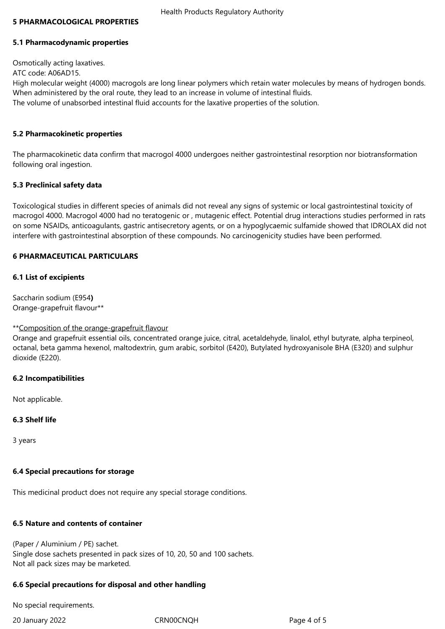#### **5 PHARMACOLOGICAL PROPERTIES**

#### **5.1 Pharmacodynamic properties**

Osmotically acting laxatives. ATC code: A06AD15. High molecular weight (4000) macrogols are long linear polymers which retain water molecules by means of hydrogen bonds. When administered by the oral route, they lead to an increase in volume of intestinal fluids. The volume of unabsorbed intestinal fluid accounts for the laxative properties of the solution.

#### **5.2 Pharmacokinetic properties**

The pharmacokinetic data confirm that macrogol 4000 undergoes neither gastrointestinal resorption nor biotransformation following oral ingestion.

#### **5.3 Preclinical safety data**

Toxicological studies in different species of animals did not reveal any signs of systemic or local gastrointestinal toxicity of macrogol 4000. Macrogol 4000 had no teratogenic or , mutagenic effect. Potential drug interactions studies performed in rats on some NSAIDs, anticoagulants, gastric antisecretory agents, or on a hypoglycaemic sulfamide showed that IDROLAX did not interfere with gastrointestinal absorption of these compounds. No carcinogenicity studies have been performed.

#### **6 PHARMACEUTICAL PARTICULARS**

#### **6.1 List of excipients**

Saccharin sodium (E954**)** Orange-grapefruit flavour\*\*

#### \*\*Composition of the orange-grapefruit flavour

Orange and grapefruit essential oils, concentrated orange juice, citral, acetaldehyde, linalol, ethyl butyrate, alpha terpineol, octanal, beta gamma hexenol, maltodextrin, gum arabic, sorbitol (E420), Butylated hydroxyanisole BHA (E320) and sulphur dioxide (E220).

#### **6.2 Incompatibilities**

Not applicable.

#### **6.3 Shelf life**

3 years

#### **6.4 Special precautions for storage**

This medicinal product does not require any special storage conditions.

#### **6.5 Nature and contents of container**

(Paper / Aluminium / PE) sachet. Single dose sachets presented in pack sizes of 10, 20, 50 and 100 sachets. Not all pack sizes may be marketed.

#### **6.6 Special precautions for disposal and other handling**

No special requirements.

20 January 2022 CRN00CNQH Page 4 of 5